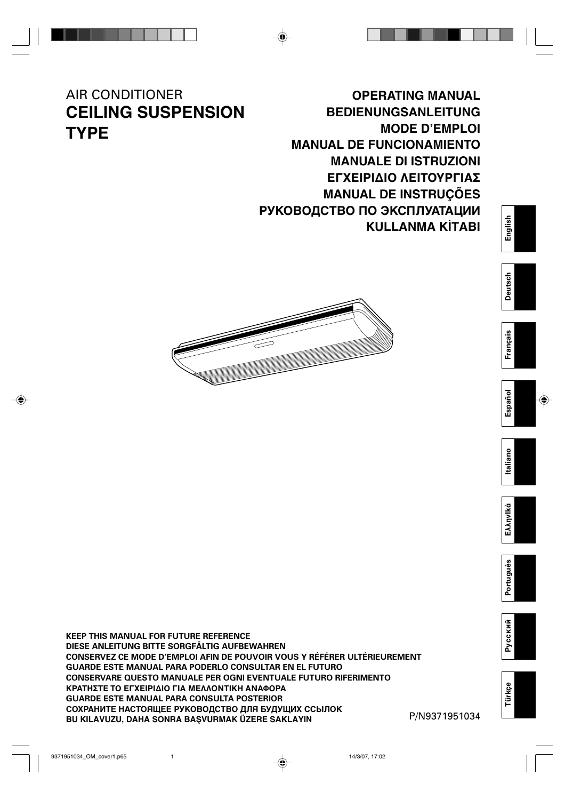# AIR CONDITIONER **CEILING SUSPENSION TYPE**

# **OPERATING MANUAL BEDIENUNGSANLEITUNG MODE D'EMPLOI MANUAL DE FUNCIONAMIENTO MANUALE DI ISTRUZIONI** ΕΓΧΕΙΡΙΔΙΟ ΛΕΙΤΟΥΡΓΙΑΣ **MANUAL DE INSTRUÇÕES РУКОВОДСТВО ПО ЭКСПЛУАТАЦИИ KULLANMA KİTABI**



**KEEP THIS MANUAL FOR FUTURE REFERENCE DIESE ANLEITUNG BITTE SORGFÄLTIG AUFBEWAHREN CONSERVEZ CE MODE D'EMPLOI AFIN DE POUVOIR VOUS Y RÉFÉRER ULTÉRIEUREMENT GUARDE ESTE MANUAL PARA PODERLO CONSULTAR EN EL FUTURO CONSERVARE QUESTO MANUALE PER OGNI EVENTUALE FUTURO RIFERIMENTO** ΚΡΑΤΗΣΤΕ ΤΟ ΕΓΧΕΙΡΙΔΙΟ ΓΙΑ ΜΕΛΛΟΝΤΙΚΗ ΑΝΑΦΟΡΑ **GUARDE ESTE MANUAL PARA CONSULTA POSTERIOR СОХРАНИТЕ НАСТОЯЩЕЕ РУКОВОДСТВО ДЛЯ БУДУЩИХ ССЫЛОК BU KILAVUZU, DAHA SONRA BAŞVURMAK ÜZERE SAKLAYIN** 

P/N9371951034

**Русский**

**Türkçe**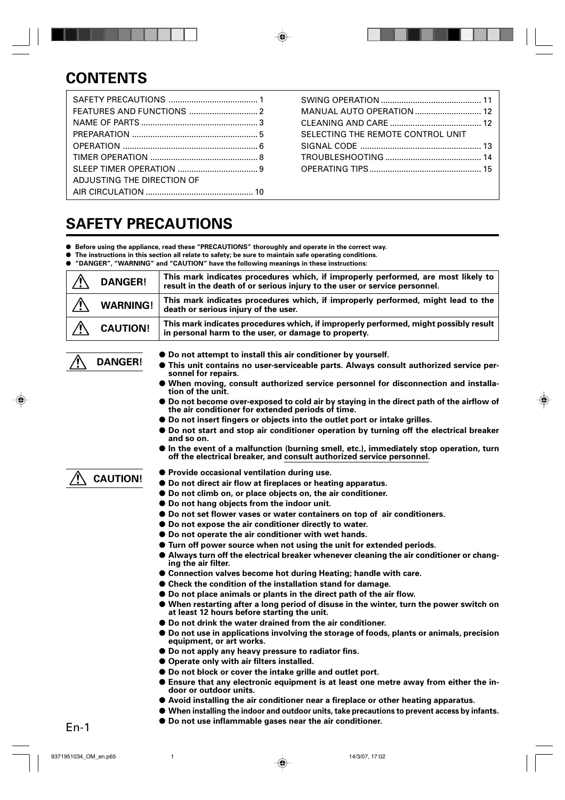# **CONTENTS**

| ADJUSTING THE DIRECTION OF |  |
|----------------------------|--|
|                            |  |
|                            |  |

| <b>MANUAL AUTO OPERATION  12</b>  |  |
|-----------------------------------|--|
|                                   |  |
| SELECTING THE REMOTE CONTROL UNIT |  |
|                                   |  |
|                                   |  |
|                                   |  |
|                                   |  |

# **SAFETY PRECAUTIONS**

- **Before using the appliance, read these "PRECAUTIONS" thoroughly and operate in the correct way.**
- **The instructions in this section all relate to safety; be sure to maintain safe operating conditions.**
- **"DANGER", "WARNING" and "CAUTION" have the following meanings in these instructions:**

| <b>DANGER!</b>  | This mark indicates procedures which, if improperly performed, are most likely to<br>result in the death of or serious injury to the user or service personnel. |
|-----------------|-----------------------------------------------------------------------------------------------------------------------------------------------------------------|
| <b>WARNING!</b> | This mark indicates procedures which, if improperly performed, might lead to the<br>death or serious injury of the user.                                        |
| <b>CAUTION!</b> | This mark indicates procedures which, if improperly performed, might possibly result<br>in personal harm to the user, or damage to property.                    |

- **Do not attempt to install this air conditioner by yourself.**
- **This unit contains no user-serviceable parts. Always consult authorized service personnel for repairs.**
- **When moving, consult authorized service personnel for disconnection and installation of the unit.**
- **Do not become over-exposed to cold air by staying in the direct path of the airflow of the air conditioner for extended periods of time.**
- **Do not insert fingers or objects into the outlet port or intake grilles.**
- **Do not start and stop air conditioner operation by turning off the electrical breaker and so on.**
- **In the event of a malfunction (burning smell, etc.), immediately stop operation, turn off the electrical breaker, and consult authorized service personnel.**

# **CAUTION!**

**DANGER!**

- **Provide occasional ventilation during use.**
- Do not direct air flow at fireplaces or heating apparatus.
- **Do not climb on, or place objects on, the air conditioner.**
- **Do not hang objects from the indoor unit.**
- **Do not set flower vases or water containers on top of air conditioners.**
- **Do not expose the air conditioner directly to water.**
- **Do not operate the air conditioner with wet hands.**
- **Turn off power source when not using the unit for extended periods.**
- **Always turn off the electrical breaker whenever cleaning the air conditioner or changing the air filter.**
- **Connection valves become hot during Heating; handle with care.**
- **Check the condition of the installation stand for damage.**
- **Do not place animals or plants in the direct path of the air flow.**
- **When restarting after a long period of disuse in the winter, turn the power switch on at least 12 hours before starting the unit.**
- **Do not drink the water drained from the air conditioner.**
- **Do not use in applications involving the storage of foods, plants or animals, precision equipment, or art works.**
- **Do not apply any heavy pressure to radiator fins.**
- **Operate only with air filters installed.**
- **Do not block or cover the intake grille and outlet port.**
- **Ensure that any electronic equipment is at least one metre away from either the indoor or outdoor units.**
- **Avoid installing the air conditioner near a fireplace or other heating apparatus.**
- **When installing the indoor and outdoor units, take precautions to prevent access by infants.**
- **Do not use inflammable gases near the air conditioner.**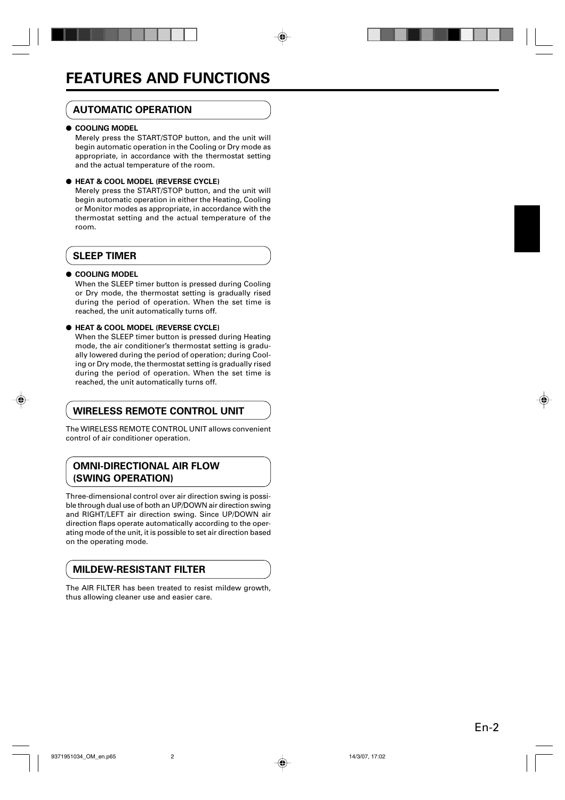# **AUTOMATIC OPERATION**

#### ● **COOLING MODEL**

Merely press the START/STOP button, and the unit will begin automatic operation in the Cooling or Dry mode as appropriate, in accordance with the thermostat setting and the actual temperature of the room.

#### ● **HEAT & COOL MODEL (REVERSE CYCLE)**

Merely press the START/STOP button, and the unit will begin automatic operation in either the Heating, Cooling or Monitor modes as appropriate, in accordance with the thermostat setting and the actual temperature of the room.

# **SLEEP TIMER**

#### ● **COOLING MODEL**

When the SLEEP timer button is pressed during Cooling or Dry mode, the thermostat setting is gradually rised during the period of operation. When the set time is reached, the unit automatically turns off.

#### ● **HEAT & COOL MODEL (REVERSE CYCLE)**

When the SLEEP timer button is pressed during Heating mode, the air conditioner's thermostat setting is gradually lowered during the period of operation; during Cooling or Dry mode, the thermostat setting is gradually rised during the period of operation. When the set time is reached, the unit automatically turns off.

# **WIRELESS REMOTE CONTROL UNIT**

The WIRELESS REMOTE CONTROL UNIT allows convenient control of air conditioner operation.

# **OMNI-DIRECTIONAL AIR FLOW (SWING OPERATION)**

Three-dimensional control over air direction swing is possible through dual use of both an UP/DOWN air direction swing and RIGHT/LEFT air direction swing. Since UP/DOWN air direction flaps operate automatically according to the operating mode of the unit, it is possible to set air direction based on the operating mode.

# **MILDEW-RESISTANT FILTER**

The AIR FILTER has been treated to resist mildew growth, thus allowing cleaner use and easier care.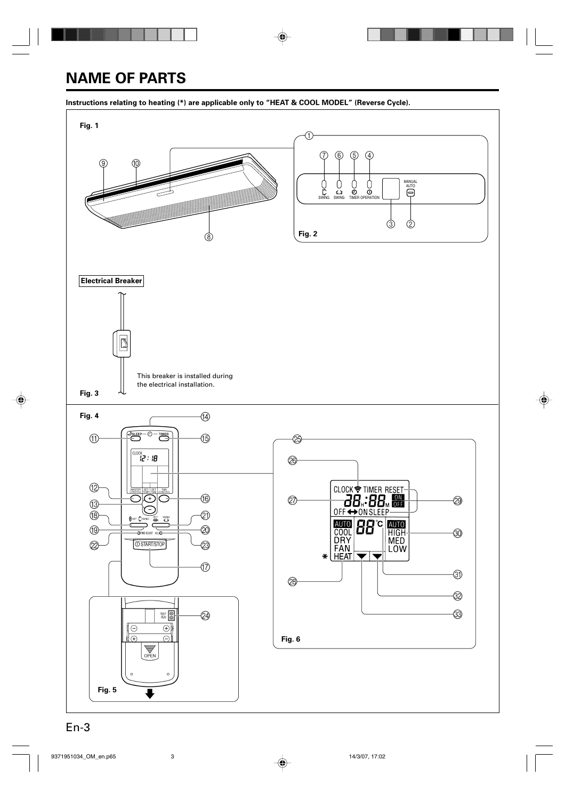# **NAME OF PARTS**

#### **Instructions relating to heating (\*) are applicable only to "HEAT & COOL MODEL" (Reverse Cycle).**

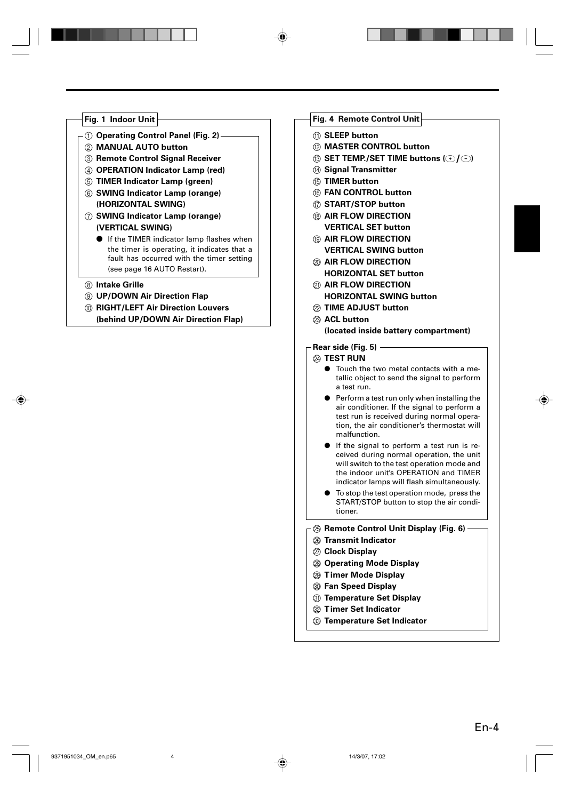# **Fig. 1 Indoor Unit** 1 **Operating Control Panel (Fig. 2)** 2 **MANUAL AUTO button** 3 **Remote Control Signal Receiver** 4 **OPERATION Indicator Lamp (red)** 5 **TIMER Indicator Lamp (green)** 6 **SWING Indicator Lamp (orange) (HORIZONTAL SWING)** 7 **SWING Indicator Lamp (orange)**

- **(VERTICAL SWING)**
- If the TIMER indicator lamp flashes when the timer is operating, it indicates that a fault has occurred with the timer setting (see page 16 AUTO Restart).
- 8 **Intake Grille**
- 9 **UP/DOWN Air Direction Flap**
- 0 **RIGHT/LEFT Air Direction Louvers**

**(behind UP/DOWN Air Direction Flap)**

### **Fig. 4 Remote Control Unit**

- **M** SLEEP button
- B **MASTER CONTROL button**
- $\circledR$  **SET TEMP./SET TIME buttons**  $\circledR$ **/** $\circledR$ )
- **(4) Signal Transmitter**
- **(6) TIMER button**
- **(6) FAN CONTROL button**
- G **START/STOP button**
- **(8) AIR FLOW DIRECTION VERTICAL SET button**
- **(13) AIR FLOW DIRECTION VERTICAL SWING button**
- $@>$  AIR FLOW DIRECTION **HORIZONTAL SET button**
- **M AIR FLOW DIRECTION HORIZONTAL SWING button**
- L **TIME ADJUST button**
- $@$  **ACL button (located inside battery compartment)**

#### **Rear side (Fig. 5)**

#### **@ TEST RUN**

- Touch the two metal contacts with a metallic object to send the signal to perform a test run.
- Perform a test run only when installing the air conditioner. If the signal to perform a test run is received during normal operation, the air conditioner's thermostat will malfunction.
- If the signal to perform a test run is received during normal operation, the unit will switch to the test operation mode and the indoor unit's OPERATION and TIMER indicator lamps will flash simultaneously.
- To stop the test operation mode, press the START/STOP button to stop the air conditioner.

#### O **Remote Control Unit Display (Fig. 6)**

- P **Transmit Indicator**
- Q **Clock Display**
- R **Operating Mode Display**
- S **Timer Mode Display**
- **<sup>3</sup> Fan Speed Display**
- U **Temperature Set Display**
- **22 Timer Set Indicator**
- W **Temperature Set Indicator**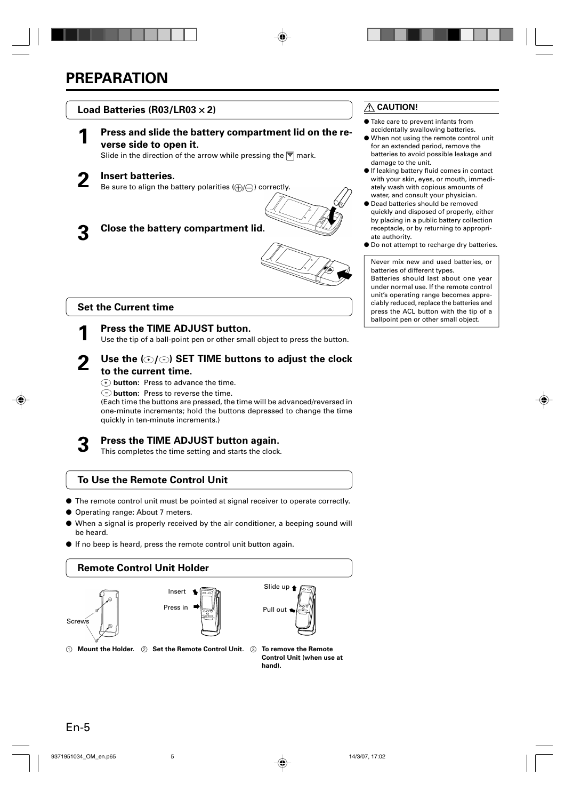

# **CAUTION!**

- Take care to prevent infants from accidentally swallowing batteries.
- When not using the remote control unit for an extended period, remove the batteries to avoid possible leakage and damage to the unit.
- If leaking battery fluid comes in contact with your skin, eyes, or mouth, immediately wash with copious amounts of water, and consult your physician.
- Dead batteries should be removed quickly and disposed of properly, either by placing in a public battery collection receptacle, or by returning to appropriate authority.
- Do not attempt to recharge dry batteries.

Never mix new and used batteries, or batteries of different types. Batteries should last about one year under normal use. If the remote control unit's operating range becomes appreciably reduced, replace the batteries and press the ACL button with the tip of a ballpoint pen or other small object.

# **Set the Current time**

#### **1 Press the TIME ADJUST button.**

Use the tip of a ball-point pen or other small object to press the button.

# **2 Use the ( ) SET TIME buttons to adjust the clock to the current time.**

- **button:** Press to advance the time.
- **button:** Press to reverse the time.

(Each time the buttons are pressed, the time will be advanced/reversed in one-minute increments; hold the buttons depressed to change the time quickly in ten-minute increments.)

# **3 Press the TIME ADJUST button again.**

This completes the time setting and starts the clock.

# **To Use the Remote Control Unit**

- The remote control unit must be pointed at signal receiver to operate correctly.
- Operating range: About 7 meters.
- When a signal is properly received by the air conditioner, a beeping sound will be heard.
- If no beep is heard, press the remote control unit button again.

# **Remote Control Unit Holder**







- $\circled{1}$  Mount the Holder.  $\circled{2}$  Set the Remote Control Unit.  $\circled{3}$  To remove the Remote
	- **Control Unit (when use at hand).**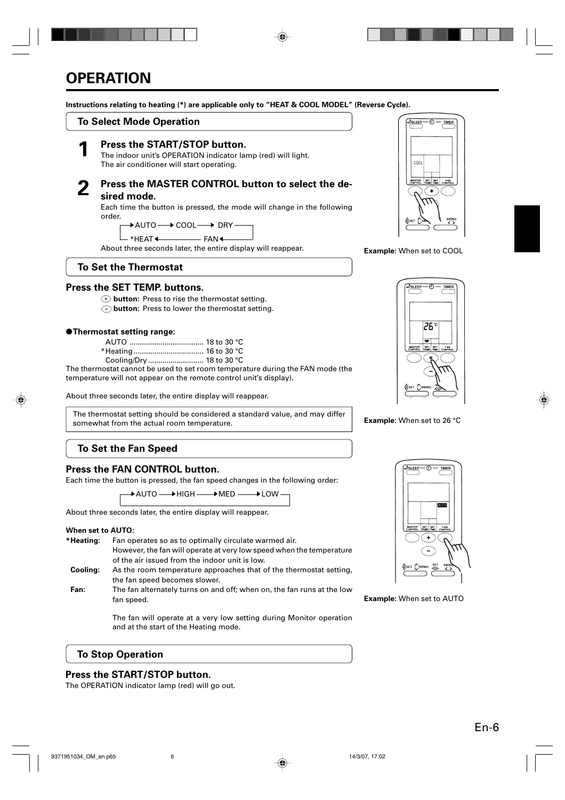#### **Instructions relating to heating (\*) are applicable only to "HEAT & COOL MODEL" (Reverse Cycle).**

# **To Select Mode Operation**



**1 Press the START/STOP button.**<br>The indoor unit's OPERATION indicator lamp (red) will light. The air conditioner will start operating.

### **2 Press the MASTER CONTROL button to select the desired mode.**

Each time the button is pressed, the mode will change in the following order.

 $\rightarrow$  AUTO  $\longrightarrow$  COOL  $\longrightarrow$  DRY

 $*$ HEAT $\leftarrow$  FAN  $-FAN +$ 

About three seconds later, the entire display will reappear.

# **To Set the Thermostat**

# **Press the SET TEMP. buttons.**

- **button:** Press to rise the thermostat setting.
- $\bigcirc$  **button:** Press to lower the thermostat setting.

#### ●**Thermostat setting range:**

| Cooling/Drv  18 to 30 °C |  |
|--------------------------|--|

The thermostat cannot be used to set room temperature during the FAN mode (the temperature will not appear on the remote control unit's display).

About three seconds later, the entire display will reappear.

The thermostat setting should be considered a standard value, and may differ somewhat from the actual room temperature.

# **To Set the Fan Speed**

### **Press the FAN CONTROL button.**

Each time the button is pressed, the fan speed changes in the following order:

 $\,\blacktriangleright$  AUTO  $\longrightarrow$  HIGH  $\longrightarrow$  MED  $\longrightarrow$  LOW

About three seconds later, the entire display will reappear.

#### **When set to AUTO:**

- **\*Heating:** Fan operates so as to optimally circulate warmed air. However, the fan will operate at very low speed when the temperature of the air issued from the indoor unit is low.
- **Cooling:** As the room temperature approaches that of the thermostat setting, the fan speed becomes slower.
- **Fan:** The fan alternately turns on and off; when on, the fan runs at the low fan speed.

The fan will operate at a very low setting during Monitor operation and at the start of the Heating mode.

# **To Stop Operation**

### **Press the START/STOP button.**

The OPERATION indicator lamp (red) will go out.



**Example:** When set to COOL



**Example:** When set to 26 °C



#### **Example:** When set to AUTO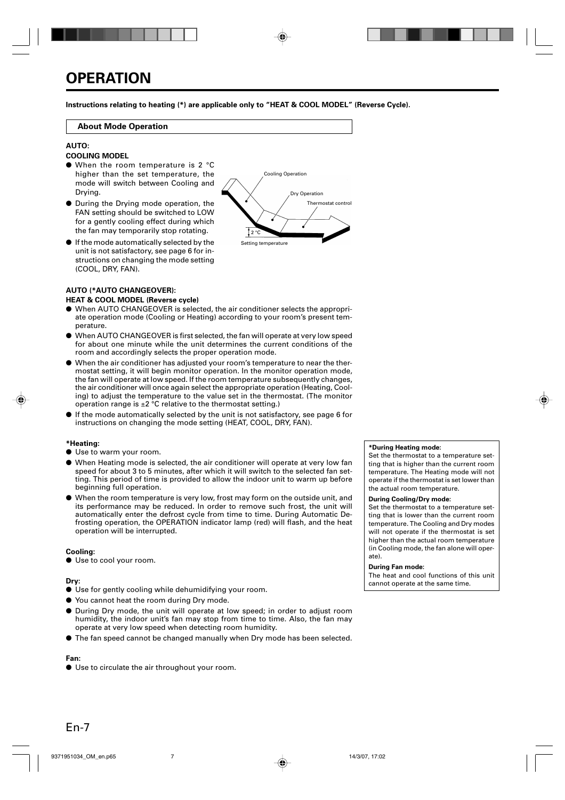**Instructions relating to heating (\*) are applicable only to "HEAT & COOL MODEL" (Reverse Cycle).**

#### **About Mode Operation**

#### **AUTO:**

#### **COOLING MODEL**

- When the room temperature is 2 °C higher than the set temperature, the mode will switch between Cooling and Drying.
- During the Drying mode operation, the FAN setting should be switched to LOW for a gently cooling effect during which the fan may temporarily stop rotating.
- If the mode automatically selected by the unit is not satisfactory, see page 6 for instructions on changing the mode setting (COOL, DRY, FAN).



#### **AUTO (\*AUTO CHANGEOVER):**

#### **HEAT & COOL MODEL (Reverse cycle)**

- When AUTO CHANGEOVER is selected, the air conditioner selects the appropriate operation mode (Cooling or Heating) according to your room's present temperature.
- When AUTO CHANGEOVER is first selected, the fan will operate at very low speed for about one minute while the unit determines the current conditions of the room and accordingly selects the proper operation mode.
- When the air conditioner has adjusted your room's temperature to near the thermostat setting, it will begin monitor operation. In the monitor operation mode, the fan will operate at low speed. If the room temperature subsequently changes, the air conditioner will once again select the appropriate operation (Heating, Cooling) to adjust the temperature to the value set in the thermostat. (The monitor operation range is  $\pm 2$  °C relative to the thermostat setting.)
- If the mode automatically selected by the unit is not satisfactory, see page 6 for instructions on changing the mode setting (HEAT, COOL, DRY, FAN).

#### **\*Heating:**

- Use to warm your room.
- When Heating mode is selected, the air conditioner will operate at very low fan speed for about 3 to 5 minutes, after which it will switch to the selected fan setting. This period of time is provided to allow the indoor unit to warm up before beginning full operation.
- When the room temperature is very low, frost may form on the outside unit, and its performance may be reduced. In order to remove such frost, the unit will automatically enter the defrost cycle from time to time. During Automatic Defrosting operation, the OPERATION indicator lamp (red) will flash, and the heat operation will be interrupted.

#### **Cooling:**

● Use to cool your room.

#### **Dry:**

- Use for gently cooling while dehumidifying your room.
- You cannot heat the room during Dry mode.
- During Dry mode, the unit will operate at low speed; in order to adjust room humidity, the indoor unit's fan may stop from time to time. Also, the fan may operate at very low speed when detecting room humidity.
- The fan speed cannot be changed manually when Dry mode has been selected.

### **Fan:**

● Use to circulate the air throughout your room.

#### **\*During Heating mode:**

Set the thermostat to a temperature setting that is higher than the current room temperature. The Heating mode will not operate if the thermostat is set lower than the actual room temperature.

#### **During Cooling/Dry mode:**

Set the thermostat to a temperature setting that is lower than the current room temperature. The Cooling and Dry modes will not operate if the thermostat is set higher than the actual room temperature (in Cooling mode, the fan alone will operate).

#### **During Fan mode:**

The heat and cool functions of this unit cannot operate at the same time.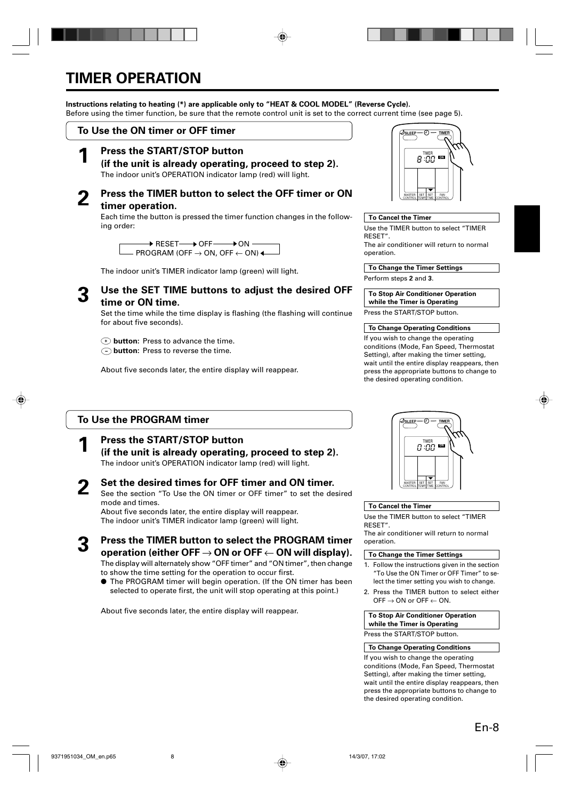# **TIMER OPERATION**

### **Instructions relating to heating (\*) are applicable only to "HEAT & COOL MODEL" (Reverse Cycle).**

Before using the timer function, be sure that the remote control unit is set to the correct current time (see page 5).

### **To Use the ON timer or OFF timer**

**1 Press the START/STOP button (if the unit is already operating, proceed to step 2).** The indoor unit's OPERATION indicator lamp (red) will light.

# **2 Press the TIMER button to select the OFF timer or ON timer operation.**

Each time the button is pressed the timer function changes in the following order:

 $\,\,\blacktriangleright$  RESET $\longrightarrow$  OFF  $\longrightarrow$  ON <code>PROGRAM</code> (OFF  $\rightarrow$  ON, OFF  $\leftarrow$  ON)  $\blacktriangleleft$ 

The indoor unit's TIMER indicator lamp (green) will light.

### **3 Use the SET TIME buttons to adjust the desired OFF time or ON time.**

Set the time while the time display is flashing (the flashing will continue for about five seconds).

- **button:** Press to advance the time.
- **button:** Press to reverse the time.

About five seconds later, the entire display will reappear.

# **To Use the PROGRAM timer**

# **1 Press the START/STOP button**

**(if the unit is already operating, proceed to step 2).** The indoor unit's OPERATION indicator lamp (red) will light.

#### **2 Set the desired times for OFF timer and ON timer.** See the section "To Use the ON timer or OFF timer" to set the desired mode and times.

About five seconds later, the entire display will reappear. The indoor unit's TIMER indicator lamp (green) will light.

**3 Press the TIMER button to select the PROGRAM timer operation (either OFF** → **ON or OFF** ← **ON will display).** The display will alternately show "OFF timer" and "ON timer", then change

to show the time setting for the operation to occur first.

● The PROGRAM timer will begin operation. (If the ON timer has been selected to operate first, the unit will stop operating at this point.)

About five seconds later, the entire display will reappear.



#### **To Cancel the Timer**

Use the TIMER button to select "TIMER RESET". The air conditioner will return to normal operation.

**To Change the Timer Settings**

Perform steps **2** and **3**.

**To Stop Air Conditioner Operation while the Timer is Operating**

Press the START/STOP button.

#### **To Change Operating Conditions**

If you wish to change the operating conditions (Mode, Fan Speed, Thermostat Setting), after making the timer setting, wait until the entire display reappears, then press the appropriate buttons to change to the desired operating condition.

TIMER **OFF ON**

# **To Cancel the Timer**

Use the TIMER button to select "TIMER RESET".

The air conditioner will return to normal operation.

#### **To Change the Timer Settings**

- 1. Follow the instructions given in the section "To Use the ON Timer or OFF Timer" to select the timer setting you wish to change.
- 2. Press the TIMER button to select either OFF  $\rightarrow$  ON or OFF  $\leftarrow$  ON.

#### **To Stop Air Conditioner Operation while the Timer is Operating**

Press the START/STOP button.

#### **To Change Operating Conditions**

If you wish to change the operating conditions (Mode, Fan Speed, Thermostat Setting), after making the timer setting, wait until the entire display reappears, then press the appropriate buttons to change to the desired operating condition.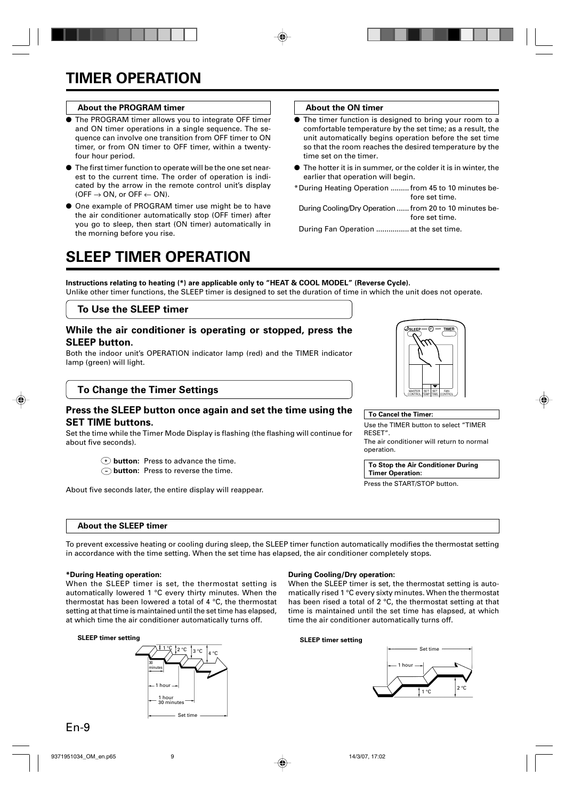#### **About the PROGRAM timer**

- The PROGRAM timer allows you to integrate OFF timer and ON timer operations in a single sequence. The sequence can involve one transition from OFF timer to ON timer, or from ON timer to OFF timer, within a twentyfour hour period.
- The first timer function to operate will be the one set nearest to the current time. The order of operation is indicated by the arrow in the remote control unit's display  $(OFF \rightarrow ON$ , or  $OFF \leftarrow ON$ .
- One example of PROGRAM timer use might be to have the air conditioner automatically stop (OFF timer) after you go to sleep, then start (ON timer) automatically in the morning before you rise.

#### **About the ON timer**

- The timer function is designed to bring your room to a comfortable temperature by the set time; as a result, the unit automatically begins operation before the set time so that the room reaches the desired temperature by the time set on the timer.
- $\bullet$  The hotter it is in summer, or the colder it is in winter, the earlier that operation will begin.
- \*During Heating Operation ......... from 45 to 10 minutes before set time.
- During Cooling/Dry Operation ...... from 20 to 10 minutes before set time.

During Fan Operation ................ at the set time.

# **SLEEP TIMER OPERATION**

**Instructions relating to heating (\*) are applicable only to "HEAT & COOL MODEL" (Reverse Cycle).** Unlike other timer functions, the SLEEP timer is designed to set the duration of time in which the unit does not operate.

#### **To Use the SLEEP timer**

#### **While the air conditioner is operating or stopped, press the SLEEP button.**

Both the indoor unit's OPERATION indicator lamp (red) and the TIMER indicator lamp (green) will light.

### **To Change the Timer Settings**

### **Press the SLEEP button once again and set the time using the SET TIME buttons.**

Set the time while the Timer Mode Display is flashing (the flashing will continue for about five seconds).

- **button:** Press to advance the time.
- **button:** Press to reverse the time.

About five seconds later, the entire display will reappear.

#### **About the SLEEP timer**

To prevent excessive heating or cooling during sleep, the SLEEP timer function automatically modifies the thermostat setting in accordance with the time setting. When the set time has elapsed, the air conditioner completely stops.

#### **\*During Heating operation:**

When the SLEEP timer is set, the thermostat setting is automatically lowered 1 °C every thirty minutes. When the thermostat has been lowered a total of 4 °C, the thermostat setting at that time is maintained until the set time has elapsed, at which time the air conditioner automatically turns off.

#### **SLEEP timer setting**



#### **During Cooling/Dry operation:**

When the SLEEP timer is set, the thermostat setting is automatically rised 1 °C every sixty minutes. When the thermostat has been rised a total of 2 °C, the thermostat setting at that time is maintained until the set time has elapsed, at which time the air conditioner automatically turns off.

#### **SLEEP timer setting**



| ♪sleep —                 | Π           |            | $-$ TIMER             |  |
|--------------------------|-------------|------------|-----------------------|--|
|                          |             |            |                       |  |
|                          |             |            |                       |  |
|                          |             |            |                       |  |
|                          |             |            |                       |  |
|                          |             |            |                       |  |
|                          |             |            |                       |  |
|                          |             |            |                       |  |
|                          |             |            |                       |  |
|                          |             |            |                       |  |
|                          |             |            |                       |  |
| MASTER<br><b>CONTROL</b> | SET<br>'EMP | SF<br>TIME | FAN<br><b>CONTROL</b> |  |
|                          |             |            |                       |  |

Use the TIMER button to select "TIMER

The air conditioner will return to normal

**To Stop the Air Conditioner During**

**To Cancel the Timer:**

**Timer Operation:** Press the START/STOP button.

RESET".

operation.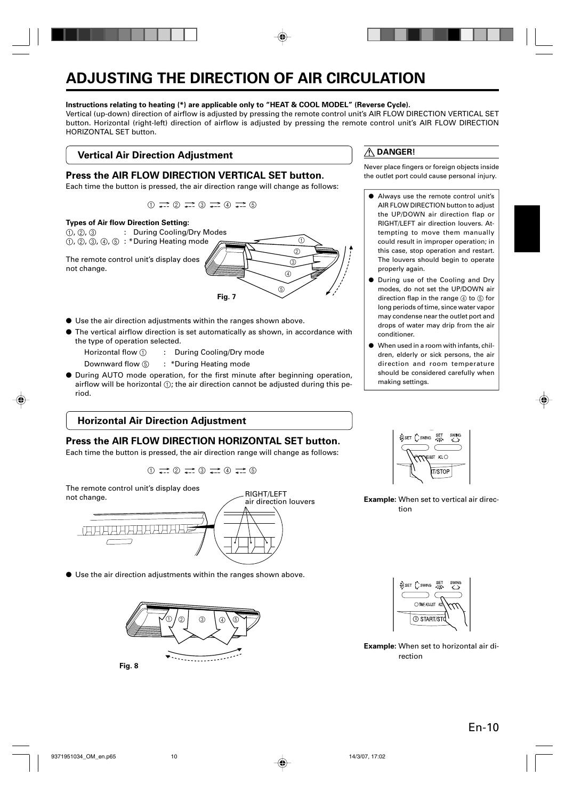# **ADJUSTING THE DIRECTION OF AIR CIRCULATION**

#### **Instructions relating to heating (\*) are applicable only to "HEAT & COOL MODEL" (Reverse Cycle).**

Vertical (up-down) direction of airflow is adjusted by pressing the remote control unit's AIR FLOW DIRECTION VERTICAL SET button. Horizontal (right-left) direction of airflow is adjusted by pressing the remote control unit's AIR FLOW DIRECTION HORIZONTAL SET button.

# **Vertical Air Direction Adjustment**

### **Press the AIR FLOW DIRECTION VERTICAL SET button.**

Each time the button is pressed, the air direction range will change as follows:





- Use the air direction adjustments within the ranges shown above.
- The vertical airflow direction is set automatically as shown, in accordance with the type of operation selected.
	- Horizontal flow 1 : During Cooling/Dry mode
	- Downward flow 5 : \*During Heating mode
- During AUTO mode operation, for the first minute after beginning operation, airflow will be horizontal  $(i)$ ; the air direction cannot be adjusted during this period.

# **Horizontal Air Direction Adjustment**

# **Press the AIR FLOW DIRECTION HORIZONTAL SET button.**

Each time the button is pressed, the air direction range will change as follows:

 $\bigcirc$   $\rightleftarrows$   $\bigcirc$   $\rightleftarrows$   $\bigcirc$   $\rightleftarrows$   $\bigcirc$ 

RIGHT/LEFT

The remote control unit's display does not change.



● Use the air direction adjustments within the ranges shown above.



# **DANGER!**

Never place fingers or foreign objects inside the outlet port could cause personal injury.

- Always use the remote control unit's AIR FLOW DIRECTION button to adjust the UP/DOWN air direction flap or RIGHT/LEFT air direction louvers. Attempting to move them manually could result in improper operation; in this case, stop operation and restart. The louvers should begin to operate properly again.
- During use of the Cooling and Dry modes, do not set the UP/DOWN air direction flap in the range  $(4)$  to  $(5)$  for long periods of time, since water vapor may condense near the outlet port and drops of water may drip from the air conditioner.
- When used in a room with infants, children, elderly or sick persons, the air direction and room temperature should be considered carefully when making settings.



**Example:** When set to vertical air direction



**Example:** When set to horizontal air direction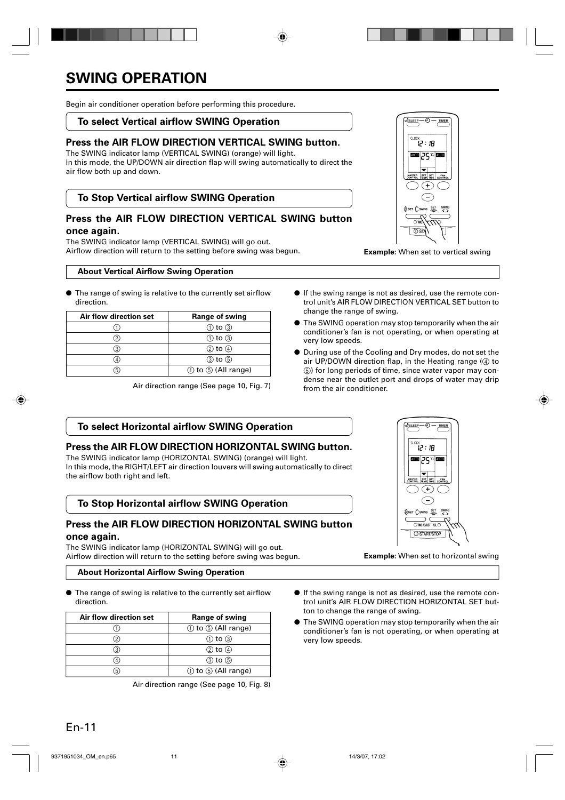# **SWING OPERATION**

Begin air conditioner operation before performing this procedure.

### **To select Vertical airflow SWING Operation**

# **Press the AIR FLOW DIRECTION VERTICAL SWING button.**

The SWING indicator lamp (VERTICAL SWING) (orange) will light. In this mode, the UP/DOWN air direction flap will swing automatically to direct the air flow both up and down.

# **To Stop Vertical airflow SWING Operation**

### **Press the AIR FLOW DIRECTION VERTICAL SWING button once again.**

The SWING indicator lamp (VERTICAL SWING) will go out. Airflow direction will return to the setting before swing was begun. **Example:** When set to vertical swing

#### **About Vertical Airflow Swing Operation**

● The range of swing is relative to the currently set airflow direction.

| Air flow direction set | Range of swing                 |
|------------------------|--------------------------------|
|                        | $(1)$ to $(3)$                 |
|                        | $\circled{1}$ to $\circled{3}$ |
|                        | $(2)$ to $(4)$                 |
|                        | ③ to ⑤                         |
|                        | ① to ⑤ (All range)             |

Air direction range (See page 10, Fig. 7)

- If the swing range is not as desired, use the remote control unit's AIR FLOW DIRECTION VERTICAL SET button to change the range of swing.
- The SWING operation may stop temporarily when the air conditioner's fan is not operating, or when operating at very low speeds.
- During use of the Cooling and Dry modes, do not set the air UP/DOWN direction flap, in the Heating range  $(4)$  to 5) for long periods of time, since water vapor may condense near the outlet port and drops of water may drip from the air conditioner.

# **To select Horizontal airflow SWING Operation**

#### **Press the AIR FLOW DIRECTION HORIZONTAL SWING button.**

The SWING indicator lamp (HORIZONTAL SWING) (orange) will light. In this mode, the RIGHT/LEFT air direction louvers will swing automatically to direct the airflow both right and left.

# **To Stop Horizontal airflow SWING Operation**

# **Press the AIR FLOW DIRECTION HORIZONTAL SWING button once again.**

The SWING indicator lamp (HORIZONTAL SWING) will go out. Airflow direction will return to the setting before swing was begun. **Example:** When set to horizontal swing

#### **About Horizontal Airflow Swing Operation**

● The range of swing is relative to the currently set airflow direction.

| Air flow direction set | Range of swing     |
|------------------------|--------------------|
|                        | ① to ⑤ (All range) |
|                        | $(1)$ to $(3)$     |
|                        | 2 to 4             |
|                        | (3) to (5)         |
|                        | ① to ⑤ (All range) |

Air direction range (See page 10, Fig. 8)

- If the swing range is not as desired, use the remote control unit's AIR FLOW DIRECTION HORIZONTAL SET button to change the range of swing.
- The SWING operation may stop temporarily when the air conditioner's fan is not operating, or when operating at very low speeds.

ब∣ञ्दञ∎ 企 SET CSWING SET **SWN**  $\overline{O}$  ST

H: יה?

OSLEEP-.എ TIMER

க **J**SLEEP  $0.00$ î2 : 18 **mma** 25 c **kma** MASTER SET SET FAN  $\bigoplus$ ⊂ §set Cswing <mark>set swing</mark> つて OTHEALIST ALO **O START/STOP**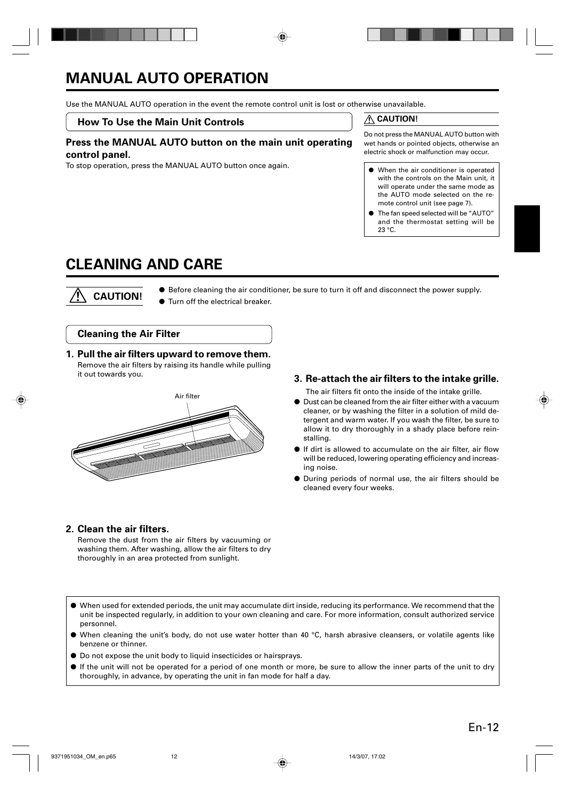# **MANUAL AUTO OPERATION**

Use the MANUAL AUTO operation in the event the remote control unit is lost or otherwise unavailable.

#### **How To Use the Main Unit Controls**

### **Press the MANUAL AUTO button on the main unit operating control panel.**

To stop operation, press the MANUAL AUTO button once again. <br>
• When the air conditioner is operated

### **CAUTION!**

Do not press the MANUAL AUTO button with wet hands or pointed objects, otherwise an electric shock or malfunction may occur.

- with the controls on the Main unit, it will operate under the same mode as the AUTO mode selected on the remote control unit (see page 7).
- The fan speed selected will be "AUTO" and the thermostat setting will be 23 °C.

# **CLEANING AND CARE**

 **CAUTION!**

● Before cleaning the air conditioner, be sure to turn it off and disconnect the power supply.

● Turn off the electrical breaker.

### **Cleaning the Air Filter**

# **1. Pull the air filters upward to remove them.**

Remove the air filters by raising its handle while pulling it out towards you.



# **3. Re-attach the air filters to the intake grille.**

The air filters fit onto the inside of the intake grille.

- Dust can be cleaned from the air filter either with a vacuum cleaner, or by washing the filter in a solution of mild detergent and warm water. If you wash the filter, be sure to allow it to dry thoroughly in a shady place before reinstalling.
- If dirt is allowed to accumulate on the air filter, air flow will be reduced, lowering operating efficiency and increasing noise.
- During periods of normal use, the air filters should be cleaned every four weeks.

# **2. Clean the air filters.**

Remove the dust from the air filters by vacuuming or washing them. After washing, allow the air filters to dry thoroughly in an area protected from sunlight.

- When used for extended periods, the unit may accumulate dirt inside, reducing its performance. We recommend that the unit be inspected regularly, in addition to your own cleaning and care. For more information, consult authorized service personnel.
- When cleaning the unit's body, do not use water hotter than 40  $^{\circ}$ C, harsh abrasive cleansers, or volatile agents like benzene or thinner.
- Do not expose the unit body to liquid insecticides or hairsprays.
- If the unit will not be operated for a period of one month or more, be sure to allow the inner parts of the unit to dry thoroughly, in advance, by operating the unit in fan mode for half a day.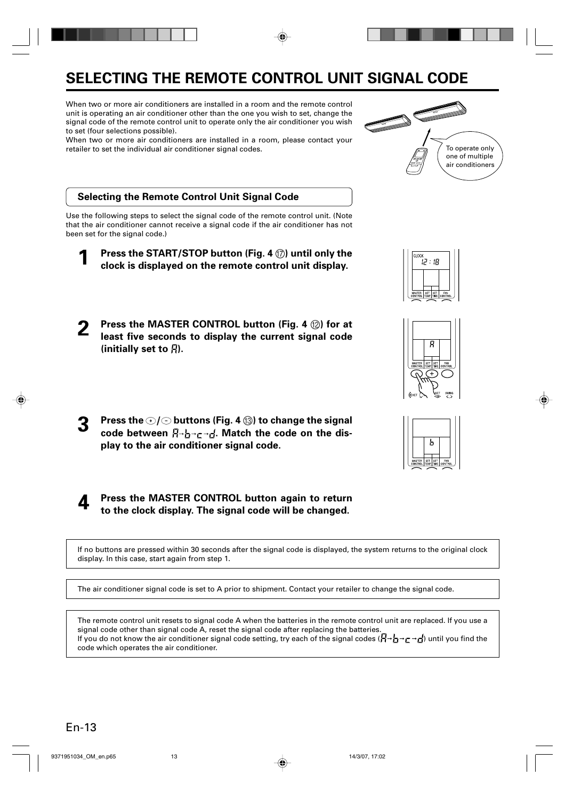# **SELECTING THE REMOTE CONTROL UNIT SIGNAL CODE**

When two or more air conditioners are installed in a room and the remote control unit is operating an air conditioner other than the one you wish to set, change the signal code of the remote control unit to operate only the air conditioner you wish to set (four selections possible).

When two or more air conditioners are installed in a room, please contact your retailer to set the individual air conditioner signal codes.



# **Selecting the Remote Control Unit Signal Code**

Use the following steps to select the signal code of the remote control unit. (Note that the air conditioner cannot receive a signal code if the air conditioner has not been set for the signal code.)

- **1 Press the START/STOP button (Fig. 4** G**) until only the clock is displayed on the remote control unit display.**
- **2 Press the MASTER CONTROL button (Fig. 4**  $\circledR$ **) for at**<br>least five seconds to display the current signal code (initially set to  $\beta$ ).
- **3** Press the  $\odot$  / $\odot$  buttons (Fig. 4  $\circledcirc$ ) to change the signal code between  $\beta \rightarrow \beta \rightarrow \gamma$ . Match the code on the dis**play to the air conditioner signal code.**

**4 Press the MASTER CONTROL button again to return to the clock display. The signal code will be changed.**

If no buttons are pressed within 30 seconds after the signal code is displayed, the system returns to the original clock display. In this case, start again from step 1.

The air conditioner signal code is set to A prior to shipment. Contact your retailer to change the signal code.

The remote control unit resets to signal code A when the batteries in the remote control unit are replaced. If you use a signal code other than signal code A, reset the signal code after replacing the batteries. If you do not know the air conditioner signal code setting, try each of the signal codes  $(I - \neg \rightarrow \neg \rightarrow f)$  until you find the code which operates the air conditioner.





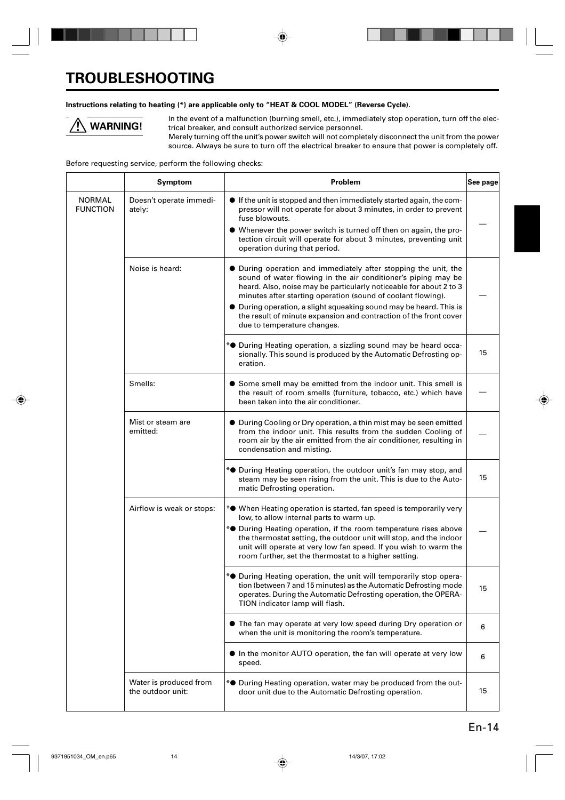# **TROUBLESHOOTING**

#### **Instructions relating to heating (\*) are applicable only to "HEAT & COOL MODEL" (Reverse Cycle).**



In the event of a malfunction (burning smell, etc.), immediately stop operation, turn off the electrical breaker, and consult authorized service personnel.

Merely turning off the unit's power switch will not completely disconnect the unit from the power source. Always be sure to turn off the electrical breaker to ensure that power is completely off.

Before requesting service, perform the following checks:

|                                  | Symptom                                     | Problem                                                                                                                                                                                                                                                                                                                                      | See page |
|----------------------------------|---------------------------------------------|----------------------------------------------------------------------------------------------------------------------------------------------------------------------------------------------------------------------------------------------------------------------------------------------------------------------------------------------|----------|
| <b>NORMAL</b><br><b>FUNCTION</b> | Doesn't operate immedi-<br>ately:           | • If the unit is stopped and then immediately started again, the com-<br>pressor will not operate for about 3 minutes, in order to prevent<br>fuse blowouts.<br>• Whenever the power switch is turned off then on again, the pro-<br>tection circuit will operate for about 3 minutes, preventing unit<br>operation during that period.      |          |
|                                  |                                             |                                                                                                                                                                                                                                                                                                                                              |          |
|                                  | Noise is heard:                             | • During operation and immediately after stopping the unit, the<br>sound of water flowing in the air conditioner's piping may be<br>heard. Also, noise may be particularly noticeable for about 2 to 3<br>minutes after starting operation (sound of coolant flowing).<br>• During operation, a slight squeaking sound may be heard. This is |          |
|                                  |                                             | the result of minute expansion and contraction of the front cover<br>due to temperature changes.                                                                                                                                                                                                                                             |          |
|                                  |                                             | * <sup>•</sup> During Heating operation, a sizzling sound may be heard occa-<br>sionally. This sound is produced by the Automatic Defrosting op-<br>eration.                                                                                                                                                                                 | 15       |
|                                  | Smells:                                     | • Some smell may be emitted from the indoor unit. This smell is<br>the result of room smells (furniture, tobacco, etc.) which have<br>been taken into the air conditioner.                                                                                                                                                                   |          |
|                                  | Mist or steam are<br>emitted:               | • During Cooling or Dry operation, a thin mist may be seen emitted<br>from the indoor unit. This results from the sudden Cooling of<br>room air by the air emitted from the air conditioner, resulting in<br>condensation and misting.                                                                                                       |          |
|                                  |                                             | * <sup>•</sup> During Heating operation, the outdoor unit's fan may stop, and<br>steam may be seen rising from the unit. This is due to the Auto-<br>matic Defrosting operation.                                                                                                                                                             | 15       |
|                                  | Airflow is weak or stops:                   | * <sup>•</sup> When Heating operation is started, fan speed is temporarily very<br>low, to allow internal parts to warm up.                                                                                                                                                                                                                  |          |
|                                  |                                             | * <sup>•</sup> During Heating operation, if the room temperature rises above<br>the thermostat setting, the outdoor unit will stop, and the indoor<br>unit will operate at very low fan speed. If you wish to warm the<br>room further, set the thermostat to a higher setting.                                                              |          |
|                                  |                                             | * <sup>•</sup> During Heating operation, the unit will temporarily stop opera-<br>tion (between 7 and 15 minutes) as the Automatic Defrosting mode<br>operates. During the Automatic Defrosting operation, the OPERA-<br>TION indicator lamp will flash.                                                                                     | 15       |
|                                  |                                             | • The fan may operate at very low speed during Dry operation or<br>when the unit is monitoring the room's temperature.                                                                                                                                                                                                                       | 6        |
|                                  |                                             | In the monitor AUTO operation, the fan will operate at very low<br>speed.                                                                                                                                                                                                                                                                    | 6        |
|                                  | Water is produced from<br>the outdoor unit: | * <sup>•</sup> During Heating operation, water may be produced from the out-<br>door unit due to the Automatic Defrosting operation.                                                                                                                                                                                                         | 15       |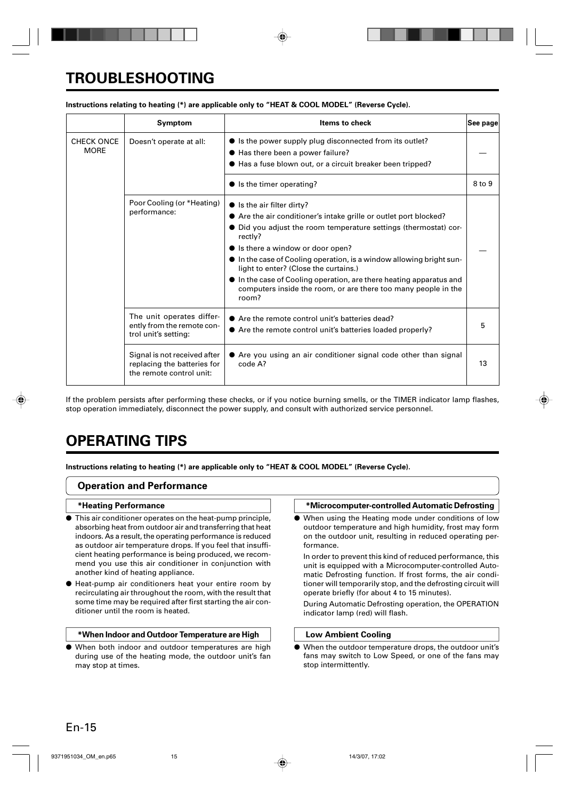# **TROUBLESHOOTING**

|                                  | Symptom                                                                                 | <b>Items to check</b>                                                                                                                                                                                                                                                                                                                                                                                                                                                                                          | See page |
|----------------------------------|-----------------------------------------------------------------------------------------|----------------------------------------------------------------------------------------------------------------------------------------------------------------------------------------------------------------------------------------------------------------------------------------------------------------------------------------------------------------------------------------------------------------------------------------------------------------------------------------------------------------|----------|
| <b>CHECK ONCE</b><br><b>MORE</b> | Doesn't operate at all:                                                                 | • Is the power supply plug disconnected from its outlet?<br>● Has there been a power failure?<br>● Has a fuse blown out, or a circuit breaker been tripped?                                                                                                                                                                                                                                                                                                                                                    |          |
|                                  |                                                                                         | $\bullet$ is the timer operating?                                                                                                                                                                                                                                                                                                                                                                                                                                                                              | 8 to 9   |
|                                  | Poor Cooling (or *Heating)<br>performance:                                              | $\bullet$ is the air filter dirty?<br>• Are the air conditioner's intake grille or outlet port blocked?<br>• Did you adjust the room temperature settings (thermostat) cor-<br>rectly?<br>• Is there a window or door open?<br>$\bullet$ In the case of Cooling operation, is a window allowing bright sun-<br>light to enter? (Close the curtains.)<br>$\bullet$ In the case of Cooling operation, are there heating apparatus and<br>computers inside the room, or are there too many people in the<br>room? |          |
|                                  | The unit operates differ-<br>ently from the remote con-<br>trol unit's setting:         | • Are the remote control unit's batteries dead?<br>• Are the remote control unit's batteries loaded properly?                                                                                                                                                                                                                                                                                                                                                                                                  | 5        |
|                                  | Signal is not received after<br>replacing the batteries for<br>the remote control unit: | • Are you using an air conditioner signal code other than signal<br>code A?                                                                                                                                                                                                                                                                                                                                                                                                                                    | 13       |

### **Instructions relating to heating (\*) are applicable only to "HEAT & COOL MODEL" (Reverse Cycle).**

If the problem persists after performing these checks, or if you notice burning smells, or the TIMER indicator lamp flashes, stop operation immediately, disconnect the power supply, and consult with authorized service personnel.

# **OPERATING TIPS**

**Instructions relating to heating (\*) are applicable only to "HEAT & COOL MODEL" (Reverse Cycle).**

### **Operation and Performance**

#### **\*Heating Performance**

- This air conditioner operates on the heat-pump principle, absorbing heat from outdoor air and transferring that heat indoors. As a result, the operating performance is reduced as outdoor air temperature drops. If you feel that insufficient heating performance is being produced, we recommend you use this air conditioner in conjunction with another kind of heating appliance.
- Heat-pump air conditioners heat your entire room by recirculating air throughout the room, with the result that some time may be required after first starting the air conditioner until the room is heated.

#### **\*When Indoor and Outdoor Temperature are High**

● When both indoor and outdoor temperatures are high during use of the heating mode, the outdoor unit's fan may stop at times.

#### **\*Microcomputer-controlled Automatic Defrosting**

● When using the Heating mode under conditions of low outdoor temperature and high humidity, frost may form on the outdoor unit, resulting in reduced operating performance.

In order to prevent this kind of reduced performance, this unit is equipped with a Microcomputer-controlled Automatic Defrosting function. If frost forms, the air conditioner will temporarily stop, and the defrosting circuit will operate briefly (for about 4 to 15 minutes).

During Automatic Defrosting operation, the OPERATION indicator lamp (red) will flash.

#### **Low Ambient Cooling**

When the outdoor temperature drops, the outdoor unit's fans may switch to Low Speed, or one of the fans may stop intermittently.